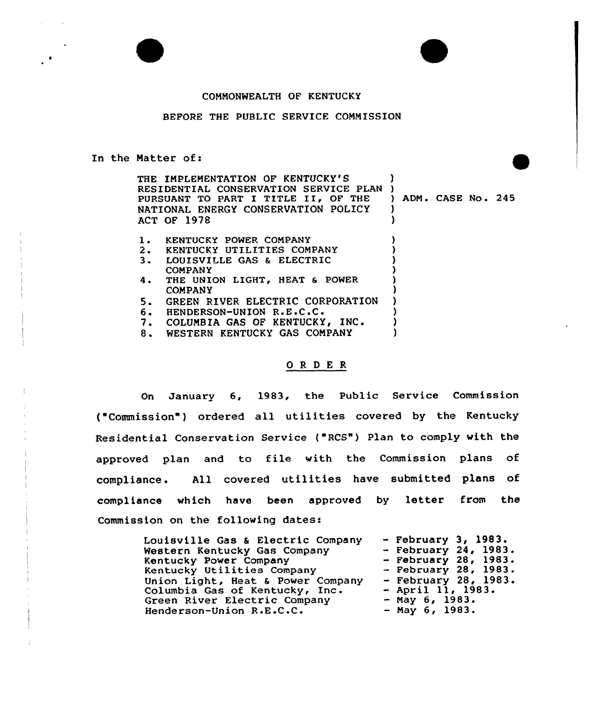## COMMONWEALTH OF KENTUCKY

## BEFORE THE PUBLIC SERVICE COMMISSION

## In the Natter of:

THE IMPLEMENTATION OF KENTUCKY'S RESIDENTIAL CONSERVATION SERVICE PLAN ) PURSUANT TO PART I TITLE II, OF THE NATIONAL ENERGY CONSERVATION POLICY ACT OF 1978  $\mathbf{I}$ ) ADM. CASE No. 245 ) )

| ı. | KENTUCKY POWER COMPANY              |  |
|----|-------------------------------------|--|
|    | 2. KENTUCKY UTILITIES COMPANY       |  |
| з. | LOUISVILLE GAS & ELECTRIC           |  |
|    | <b>COMPANY</b>                      |  |
|    | 4. THE UNION LIGHT, HEAT & POWER    |  |
|    | <b>COMPANY</b>                      |  |
|    | 5. GREEN RIVER ELECTRIC CORPORATION |  |
|    | 6. HENDERSON-UNION R.E.C.C.         |  |
|    | 7. COLUMBIA GAS OF KENTUCKY, INC.   |  |
| 8. | WESTERN KENTUCKY GAS COMPANY        |  |
|    |                                     |  |

## ORDER

On January 6, 1983, the Public Service Commission ( Commission" ) ordered all utilities covered by the Kentucky Residential Conservation Service ("RCS") Plan to comply with the approved plan and to file with the Commission plans of compliance. All covered utilities have submitted plans of compliance which have been approved by letter from the Commission on the following dates:

| Louisville Gas & Electric Company | $-$ February 3, 1983.  |
|-----------------------------------|------------------------|
| Western Kentucky Gas Company      | - February $24, 1983.$ |
| Kentucky Power Company            | $-$ February 28, 1983. |
| Kentucky Utilities Company        | $-$ February 28, 1983. |
| Union Light, Heat & Power Company | - February 28, $1983.$ |
| Columbia Gas of Kentucky, Inc.    | $-$ April 11, 1983.    |
| Green River Electric Company      | $-$ May 6, 1983.       |
| Henderson-Union R.E.C.C.          | $-$ May 6, 1983.       |